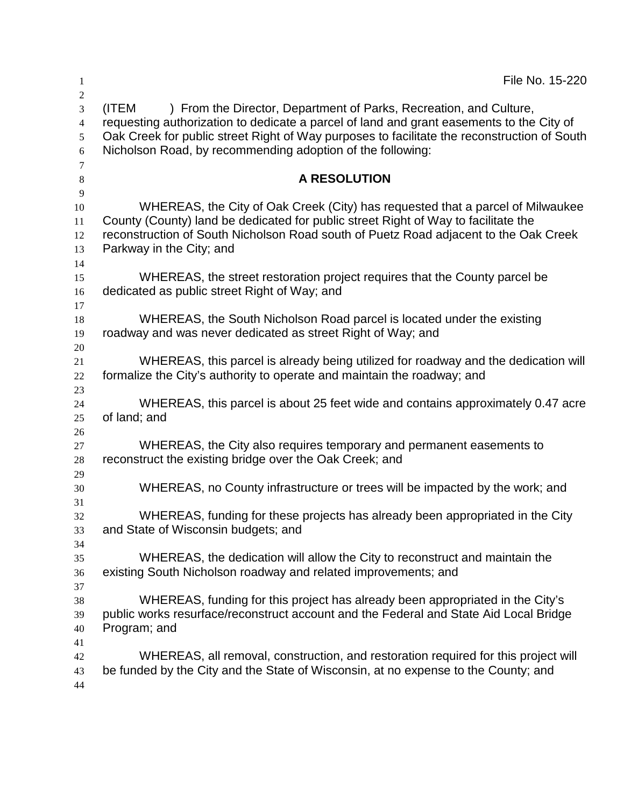| 1                   | File No. 15-220                                                                                                                                                        |
|---------------------|------------------------------------------------------------------------------------------------------------------------------------------------------------------------|
| $\overline{2}$<br>3 | ) From the Director, Department of Parks, Recreation, and Culture,<br>(ITEM                                                                                            |
| $\overline{4}$      | requesting authorization to dedicate a parcel of land and grant easements to the City of                                                                               |
| 5                   | Oak Creek for public street Right of Way purposes to facilitate the reconstruction of South                                                                            |
| 6                   | Nicholson Road, by recommending adoption of the following:                                                                                                             |
| 7                   |                                                                                                                                                                        |
| $\,8\,$             | <b>A RESOLUTION</b>                                                                                                                                                    |
| 9                   |                                                                                                                                                                        |
| 10<br>11            | WHEREAS, the City of Oak Creek (City) has requested that a parcel of Milwaukee<br>County (County) land be dedicated for public street Right of Way to facilitate the   |
| 12                  | reconstruction of South Nicholson Road south of Puetz Road adjacent to the Oak Creek                                                                                   |
| 13                  | Parkway in the City; and                                                                                                                                               |
| 14                  |                                                                                                                                                                        |
| 15                  | WHEREAS, the street restoration project requires that the County parcel be                                                                                             |
| 16                  | dedicated as public street Right of Way; and                                                                                                                           |
| 17                  |                                                                                                                                                                        |
| 18                  | WHEREAS, the South Nicholson Road parcel is located under the existing                                                                                                 |
| 19                  | roadway and was never dedicated as street Right of Way; and                                                                                                            |
| 20<br>21            | WHEREAS, this parcel is already being utilized for roadway and the dedication will                                                                                     |
| 22                  | formalize the City's authority to operate and maintain the roadway; and                                                                                                |
| 23                  |                                                                                                                                                                        |
| 24                  | WHEREAS, this parcel is about 25 feet wide and contains approximately 0.47 acre                                                                                        |
| 25                  | of land; and                                                                                                                                                           |
| 26                  |                                                                                                                                                                        |
| 27                  | WHEREAS, the City also requires temporary and permanent easements to                                                                                                   |
| 28                  | reconstruct the existing bridge over the Oak Creek; and                                                                                                                |
| 29<br>30            | WHEREAS, no County infrastructure or trees will be impacted by the work; and                                                                                           |
| 31                  |                                                                                                                                                                        |
| 32                  | WHEREAS, funding for these projects has already been appropriated in the City                                                                                          |
| 33                  | and State of Wisconsin budgets; and                                                                                                                                    |
| 34                  |                                                                                                                                                                        |
| 35                  | WHEREAS, the dedication will allow the City to reconstruct and maintain the                                                                                            |
| 36                  | existing South Nicholson roadway and related improvements; and                                                                                                         |
| 37                  |                                                                                                                                                                        |
| 38<br>39            | WHEREAS, funding for this project has already been appropriated in the City's<br>public works resurface/reconstruct account and the Federal and State Aid Local Bridge |
| 40                  | Program; and                                                                                                                                                           |
| 41                  |                                                                                                                                                                        |
| 42                  | WHEREAS, all removal, construction, and restoration required for this project will                                                                                     |
| 43                  | be funded by the City and the State of Wisconsin, at no expense to the County; and                                                                                     |
| 44                  |                                                                                                                                                                        |